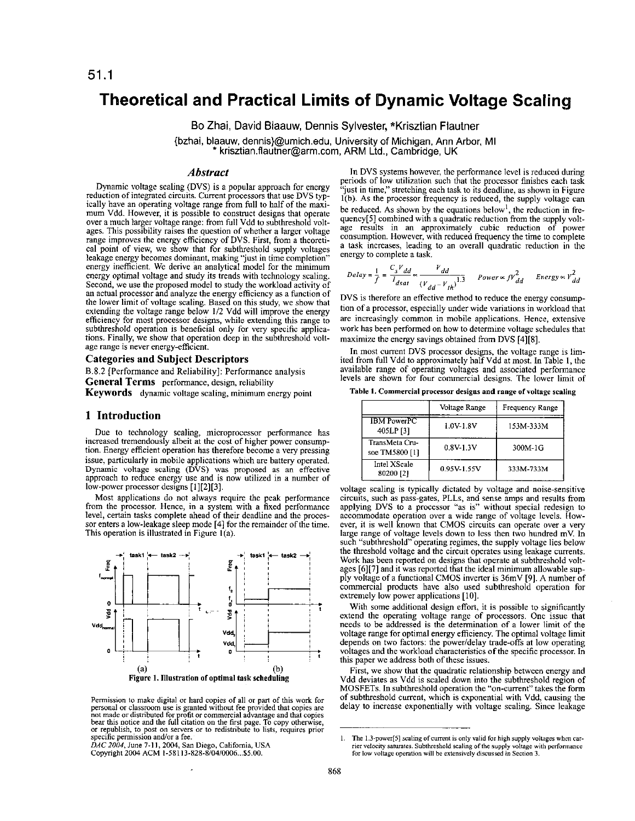# **Theoretical and Practical Limits of Dynamic Voltage Scaling**

Bo Zhai, David Blaauw, Dennis Sylvester, \*Krisztian Flautner

{bzhai, bkauw, dennis}@umich.edu, University *of* Michigan, Ann Arbor, MI krisztian.flautner@arm.com, ARM Ltd., Cambridge, UK

# *Abstract*

Dynamic voltage scaling (DVS) is a popular approach for energy reduction of integrated circuits. Current processors that use DVS typically have an operating voltage range from full to half of the maxiover a much larger voltage range: from full Vdd to subthreshold voltages. This possibility raises the question of whether **a** larger voltage range improves the energy efficiency of DVS. First, from a theoretical point of view, we show that for subthreshold supply voltages leakage energy becomes dominant, making "just in time completion" energy inefficient. We derive an analytical model for the minimum energy optimal voltage and study its trends with technology scaling. Second, we use the proposed model to study the workload activity of an actual processor and analyze the energy efficiency as a function of the lower limit of voltage scaling. Based on this study, we show that extending the voltage range below 1/2 Vdd will improve the energy efficiency for most processor designs, while extending this range to subthreshold operation is beneficial only for very specific applications. Finally, we show that operation deep in the subthreshold voltage range is never energy-efficient.

### **Categories and Subject Descriptors**

**8.8.2** [Performance and Reliability]: Performance analysis **General Terms** performance, design, reliability **Keywords** dynamic voltage scaling, minimum energy point

# **1 Introduction**

Due to technology scaling, microprocessor performance has increased tremendously albeit at the cost of higher power consumption. Energy efficient operation has therefore become a very pressing issue, particularly in mobile applications which are battery operated. Dynamic voltage scaling (DVS) **was** proposed as an effective approach to reduce energy use and is now utilized in **a** number **of**  low-power processor designs [1][2][3].

Most applications do not always require the peak performance from the processor. Hence, in **a** system with **a** fixed performance level, certain tasks complete ahead of their deadline and the processor enters **a** low-leakage sleep mode [4] for the remainder of the time. This operation is illustrated in Figure **I(a).** 



Permission to make digital or hard copies of all or part of this work for The solid of classroom use is granted without deep provided that copies<br>personal or classroom use is granted without dee provided that copies<br>not made or distributed for profit or commercial advantage and that copies<br>bear

*DAC2004,* **June 7-1 I, 2004,** San Diego, California, **USA**  Copyight 2004 ACM **1-581** *13-828-810410006* ... **%S.OO.** 

In DVS systems however, the performance level is reduced during periods of low utilization such that the processor finishes each task just in time," stretching each task to its deadline, as shown in Figure I(b). As the processor frequency is reduced, the supply voltage can be reduced. As shown by the equations below<sup>1</sup>, the reduction in frequency[5] combined with a quadratic reduction from the supply voltage results in an approximately cubic reduction of power consumption. However, with reduced frequency the time to complete a task increases, leading to an o

$$
Delay = \frac{1}{f} = \frac{C_s V_{dd}}{I_{dsat}} \propto \frac{V_{dd}}{(V_{dd} - V_{th})^{1.3}} \qquad Power \propto fV_{dd}^2 \qquad Energy \propto V_{dd}^2
$$

DVS is therefore an effective method to reduce the energy consumption of a processor, especially under wide variations in workload that are increasingly common in mobile applications. Hence, extensive work has been performed on how to determine voltage schedules that maximize the energy savings obtained from DVS [4][8].

In most current DVS processor designs, the voltage range is limited from full Vdd to approximately **half** Vdd at most. In Table **I,** the available range of operating voltages and associated performance levels are shown for four commercial designs. The lower limit of

**Table 1.** Commercial **processor designs and range of** voltage **scaling** 

|                                  | Voltage Range | Frequency Range |
|----------------------------------|---------------|-----------------|
| <b>IBM PowerPC</b><br>405LP [3]  | 1.0V-1.8V     | 153M-333M       |
| TransMeta Cru-<br>soe TM5800 [1] | $0.8V - 1.3V$ | 300M-1G         |
| Intel XScale<br>80200 [2]        | 0.95V-1.55V   | 333M-733M       |

voltage scaling is typically dictated by voltage and noise-sensitive circuits, such as pass-gates, PLLs, and sense amps and results from applying DVS to a processor "as is" without special redesign to accommodate operation over a wide range of voltage levels. However, it is well known that CMOS circuits can operate over **a** very large range of voltage levels down to less then two hundred mV. In such "subthreshold" operating regimes, the supply voltage lies below the threshold voltage and the circuit operates using leakage currents. Work has been reported on designs that operate at subthreshold voltages [6][7] and it was reported that the ideal minimum allowable supply voltage of a functional CMOS inverter is 36mV *[9].* **A** numher of commercial products have **also** used subthreshold operation for extremely low power applications [IO].

With some additional design effort, it is possible to significantly extend the operating voltage range of processors. One issue that needs to be addressed is the determination of a lower limit of the voltage range for optimal energy efficiency. The optimal voltage limit depends on two factors: the poweridelay trade-offs at low operating voltages and the workload characteristics **of** the specific processor. In this paper we address both of these issues

First, we show that the quadratic relationship between energy and Vdd deviates **as** Vdd is scaled down into the subthreshold region of MOSFETs. In subthreshold operation the "on-current" takes the form of subthreshold current, which is exponential with Vdd, causing the delay to increase exponentially with voltage scaling. Since leakage

<sup>1.</sup> The 1.3-power[5] scaling of current is only valid for high supply voltages when car**tier velocity safurafei.** subthreshold scaling ofthe supply **voltage with perfonnancc**  far **IOW volfagc operation will** be extensively **discussed** in Section **3.**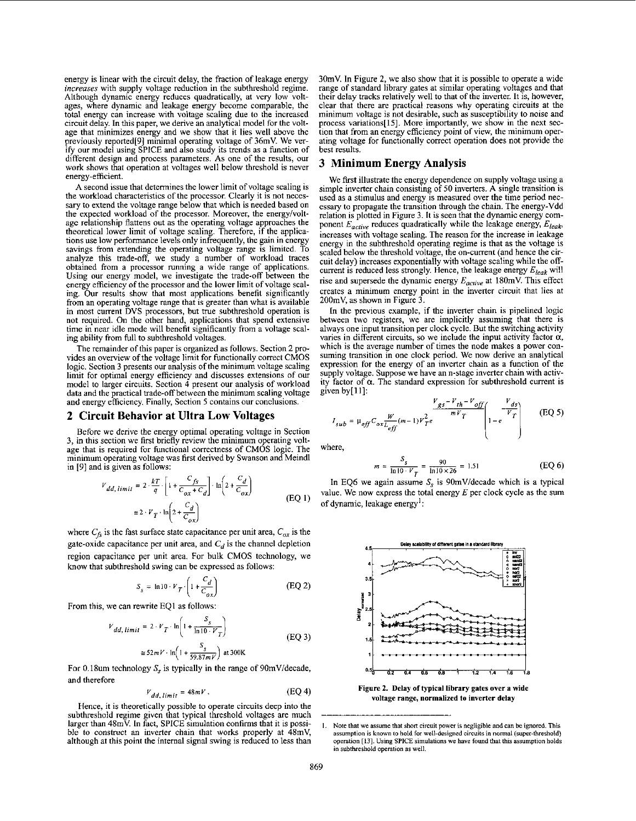energy is linear with the circuit delay, the fraction of leakage energy *increases* with supply voltage reduction in the subthreshold regime. Although dynamic energy reduces quadratically, at very low voltages, where dynamic and leakage energy become comparable, the total energy can increase with voltage scaling due to the increased circuit delay. In this paper, we derive an analytical model for the voltage that minimizes energy and we show that it lies well above the previously reported[9] minimal operating voltage of 36mV. We ver **ify** our model using SPlCE and **also** study its trends as a function of different design and process parameters. **As** one of the results, our work shows that operation at voltages well below threshold is never energy-efficient.

A second issue that determines the lower limit of voltage scaling is the workload characteristics of the processor. Clearly it is not neces *sary* to extend the voltage range below that which is needed based on the expected workload of the processor. Moreover, the energy/voltage relationship flattens out as the operating voltage approaches the theoretical lower limit of voltage scaling. Therefore, if the applications use low performance levels only infrequently, the gain in energy savings from extending the operating voltage range is limited. To analyze this trade-off, we study a number of workload traces obtained from a processor running a wide range of applications. Using our energy model, we investigate the trade-off between the energy efficiency of the processor and the lower limit of voltage scaling. Our results show that most applications benefit significantly from an operating voltage range that is greater than what is available in most current DVS processors, but true subthreshold operation is not required. On the other hand, applications that spend extensive time in near idle mode will benefit significantly from a voltage scaling ability from full to subthreshold voltages.

The remainder of this paper is organized as follows. Section 2 provides an overview of the voltage limit for functionally correct CMOS logic. Section 3 presents our analysis of the minimum voltage scaling limit for optimal energy efficiency and discusses extensions of our model to larger circuits. Section 4 present our analysis of workload data and the practical trade-off between the minimum scaling voltage and energy efficiency. Finally, Section *5* contains our conclusions.

# **2 Circuit Behavior at Ultra Low Voltages**

Before we derive the energy optimal operating voltage in Section 3, in this section we first briefly review the minimum operating voltage that is required for functional correctness of CMOS logic. The minimum operating voltage was first derived by Swanson and Meindl in [9] and is given as follows:

$$
V_{dd, limit} = 2 \cdot \frac{kT}{q} \cdot \left[ 1 + \frac{C_{fs}}{C_{ox} + C_d} \right] \cdot \ln \left( 2 + \frac{C_d}{C_{ox}} \right)
$$
  

$$
\equiv 2 \cdot V_T \cdot \ln \left( 2 + \frac{C_d}{C_{ox}} \right)
$$
(EQ1)

where  $C_f$  is the fast surface state capacitance per unit area,  $C_{ox}$  is the gate-oxide capacitance per unit area, and  $C_d$  is the channel depletion region capacitance per unit area. For hulk CMOS technology, we know that subthreshold swing can be expressed as follows:

$$
S_{s} = \ln 10 \cdot V_{T} \cdot \left( 1 + \frac{C_{d}}{C_{ox}} \right) \tag{EQ2}
$$

From this, we can rewrite **EQ1** as follows:

$$
V_{dd, limit} = 2 \cdot V_T \cdot \ln\left(1 + \frac{S_s}{\ln 10 \cdot V_T}\right)
$$
\n
$$
\approx 52mV \cdot \ln\left(1 + \frac{S_s}{59.87mV}\right)
$$
 at 300K  
\nFor 0.18um technology  $S_s$  is typically in the range of 90mV/decade,

and therefore

$$
V_{dd, limit} = 48mV. \tag{EQ4}
$$

Hence, it is theoretically possible to operate circuits deep into the subthreshold regime given that typical threshold voltages are much larger than 48mV. **In** fact, SPICE simulation confirms that it is possible to construct an inverter chain that works properly at  $48$ mV, although at this point the internal signal swing is reduced to less than

30mV. In Figure **2,** we also show that it is possible to operate a wide range of standard library gates at similar operating voltages and that their delay tracks relatively well to that of the inverter. It is, however, clear that there are practical reasons why operating circuits at the minimum voltage is not desirable, such as susceptibility to noise and process variations[l5]. More importantly, we show in the next section that from an energy efficiency point of view, the minimum operating voltage for functionally correct operation does not provide the best results.

# **3 Minimum Energy Analysis**

We **first** illustrate the energy dependence on supply voltage using a simple inverter chain consisting of **50** inverters. **A** single transition is used as a stimulus and energy is measured over the time period necessary to propagate the transition through the chain. The energy-Vdd relation is plotted in Figure 3. It is seen that the dynamic energy component  $E_{active}$  reduces quadratically while the leakage energy,  $E_{leak}$ , increases with voltage scaling. The reason for the increase in leakage energy in the subthreshold operating regime is that as the voltage is scaled below the threshold voltage, the on-current (and hence the circuit delay) increases exponentially with voltage scaling while the offcurrent is reduced less strongly. Hence, the leakage energy  $E_{leak}$  will rise and supersede the dynamic energy  $E_{active}$  at 180mV. This effect creates a minimum energy point in the inverter circuit that lies at 200mV, as shown in Figure 3.

In the previous example, if the inverter chain is pipelined logic between two registers, we are implicitly assuming that there is always one input transition per clock cycle. But the switching activity varies in different circuits, so we include the input activity factor *a,*  which is the average number of times the node makes a power consuming transition in one clock period. We now derive an analytical expression for the energy of an inverter chain as a function of the supply voltage. Suppose we have an n-stage inverter chain with activity factor of *a.* The standard expression for subthreshold current is given by $[11]$ :

$$
I_{sub} = \mu_{eff} C_{ox} \frac{W}{L_{eff}} (m-1) V_T^2 e^{-\frac{V_{gs} - V_{th} - V_{off}}{mV_T}} \left( 1 - e^{-\frac{V_{ds}}{V_T}} \right) \qquad (EQ 5)
$$

where,

$$
m = \frac{S_s}{\ln 10 \cdot V_T} = \frac{90}{\ln 10 \times 26} = 1.51
$$
 (EQ 6)

In **EQ6** we again assume *S,* is 90mV/decade which is a typical value. We now express the total energy *E* per clock cycle as the sum of dynamic, leakage energy':



**Figure 2. Delay of typical library** gates **over a wide**  voltage **range, normalized** to **inverter delay** 

I. Note that we assume that short circuit power is negligible and can be ignored. This **a~sumption is known** *10* **hold for well-designed circuits in** normal **(super-threshold)**   $o$  peration [13]. Using **SPICE** simulations we have found that this assumption holds in **subthreshold operation as well.**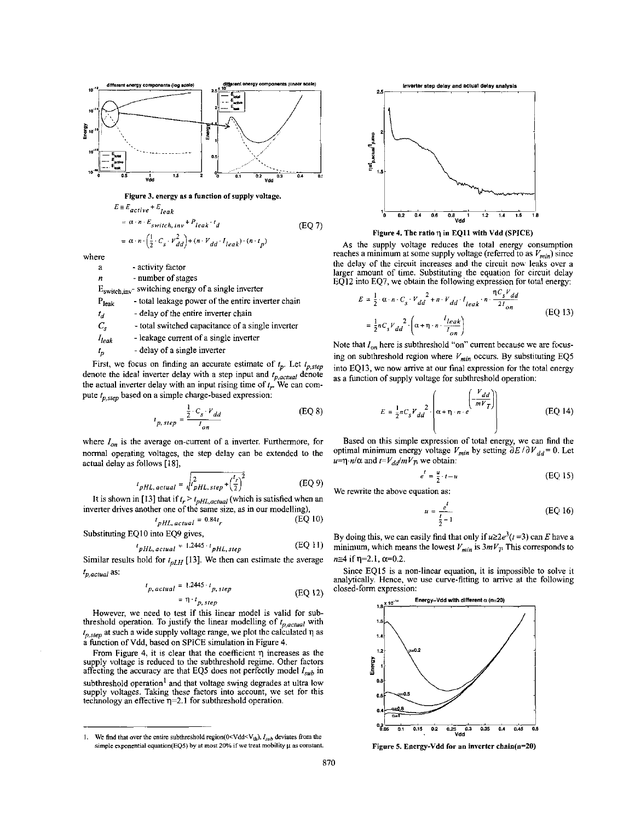

$$
= \alpha \cdot n \cdot E_{switch, inv} + P_{leak} \cdot {}^{t}d
$$
\n
$$
= \alpha \cdot n \cdot \left(\frac{1}{2} \cdot C_{s} \cdot V_{dd}^{2}\right) + (n \cdot V_{dd} \cdot I_{leak}) \cdot (n \cdot t_{n})
$$
\n(EQ 7)

where

a - activity factor

*n* - number of stages

E<sub>switch,inv</sub>- switching energy of a single inverter

**PIeak**  - total leakage power of the entire inverter chain

*Id*  - delay of the entire inverter chain

- $C_{s}$ - total switched capacitance of a single inverter
- */Ieok*  - leakage current of a single inverter
- delay of a single inverter *5*

First, we focus on finding an accurate estimate of  $t_p$ . Let  $t_{p,step}$ denote the ideal inverter delay with a step input and  $t_{p,actual}$  denote the actual inverter delay with an input rising time of  $t_r$ . We can compute  $t_{p,step}$  based on a simple charge-based expression:

$$
t_{p,\,step} = \frac{\frac{1}{2} \cdot C_s \cdot V_{dd}}{I_{on}} \tag{EQ 8}
$$

where  $I_{on}$  is the average on-current of a inverter. Furthermore, for normal operating voltages, the step delay can be extended to the actual delay as follows **[18],**   $I_{p,step} = \frac{\frac{1}{2} \cdot C_s \cdot V_{dd}}{I_{on}}$  (EQ 8)  $E$ <br> **e** average on-current of a inverter. Furthermore, for Based on the problem of a inverter. Furthermore, for Based on the problem of ollows [18],<br>  $I_{pHL,actual} = \sqrt{I_{pHL,step}^2 + (\frac{I_r}{2$ 

$$
t_{pHL,\,actual} = \sqrt{t_{pHL,\,step}^2 + \left(\frac{t_r}{2}\right)^2}
$$
\n(EQ 9)

It is shown in [13] that if  $t_r > t_{pHL,actual}$  (which is satisfied when an inverter drives another one of the same size, as in **our** modelling),

$$
t_{pHL,actual} = 0.84t_r
$$
 (EQ 10)

Substituting EQ10 into EQ9 gives,

$$
t_{pHL,actual} = 1.2445 \cdot t_{pHL,step} \tag{EQ 11}
$$

Similar results hold for  $t_{pLH}$  [13]. We then can estimate the average *fp.ocrual* as:

$$
t_{p,\,actual} = 1.2445 \cdot t_{p,\,step}
$$
  
=  $\eta \cdot t_{p,\,step}$  (EQ 12)

threshold operation. To justify the linear modelling of  $t_{p,actual}$  with  $t_{p,step}$  at such a wide supply voltage range, we plot the calculated  $\eta$  as a function of Vdd, based on SPICE simulation in Figure 4.

From Figure 4, it is clear that the coefficient  $\eta$  increases as the supply voltage is reduced to the subthreshold regime. Other factors supply voltage is reduced to the subthreshold regime. Other factors affecting the accuracy are that EQ5 does not perfectly model  $I_{sub}$  in  $\overline{\mathbf{g}}$ subthreshold operation<sup>1</sup> and that voltage swing degrades at ultra low supply voltages. Taking these factors into account, we set for this technology an effective  $\eta=2.1$  for subthreshold operation.



**Figure 4. The** ratio q **in EQI 1** with **Vdd (SPICE)** 

**As** the supply voltage reduces the total energy consumption reaches a minimum at some supply voltage (referred to as  $V_{min}$ ) since the delay of the circuit increases and the circuit now leaks over a larger amount of time. Substituting the equation for circuit delay EQI2 into EQ7, we obtain the following expression for total energy:

$$
E = \frac{1}{2} \cdot \alpha \cdot n \cdot C_s \cdot V_{dd}^2 + n \cdot V_{dd} \cdot I_{leak} \cdot n \cdot \frac{nC_s V_{dd}}{2I_{on}}
$$
  
=  $\frac{1}{2} nC_s V_{dd}^2 \cdot \left(\alpha + \eta \cdot n \cdot \frac{I_{leak}}{I_{on}}\right)$  (EQ 13)

Note that  $I_{on}$  here is subthreshold "on" current because we are focusing on subthreshold region where  $V_{min}$  occurs. By substituting EQ5 into **EQ13,** we now arrive at our final expression for the total energy as a function of supply voltage **for** subthreshold operation:

$$
E = \frac{1}{2} n C_s V_{dd}^2 \cdot \left( \alpha + \eta \cdot n \cdot e^{-\frac{\left(\frac{V}{mV_T}\right)^2}{\frac{1}{mV_T}}}\right) \tag{EQ 14}
$$

Based on this simple expression of total energy, we can **find** the optimal minimum energy voltage  $V_{min}$  by setting  $\partial E / \partial V_{dd} = 0$ . Let  $u=\eta$  n/ $\alpha$  and  $t=V_{dd}/mV_T$ , we obtain:

$$
e^{t} = \frac{u}{2} \cdot t - u \tag{EQ15}
$$

We rewrite the above equation as:

$$
u = \frac{e^t}{\frac{t}{2} - 1}
$$
 (EQ 16)

By doing this, we can easily find that only if  $u \ge 2e^3(t=3)$  can *E* have a minimum, which means the lowest  $V_{min}$  is  $3mV_T$ . This corresponds to  $n \approx 4$  if  $n=2.1$ ,  $\alpha=0.2$ .

Since EQl5 is a non-linear equation, it is impossible to solve it analytically. Hence, we use curve-fitting to arrive at the following closed-form expression:



<sup>1.</sup> We find that over the entire subthreshold region( $0 < V \, \text{dd} < V_{\text{th}}$ ),  $I_{sub}$  deviates from the simple exponential equation(EQ5) by at most 20% if we treat mobility  $\mu$  as constant. Figure 5. Energy-Vdd for an inverter chain(n=20)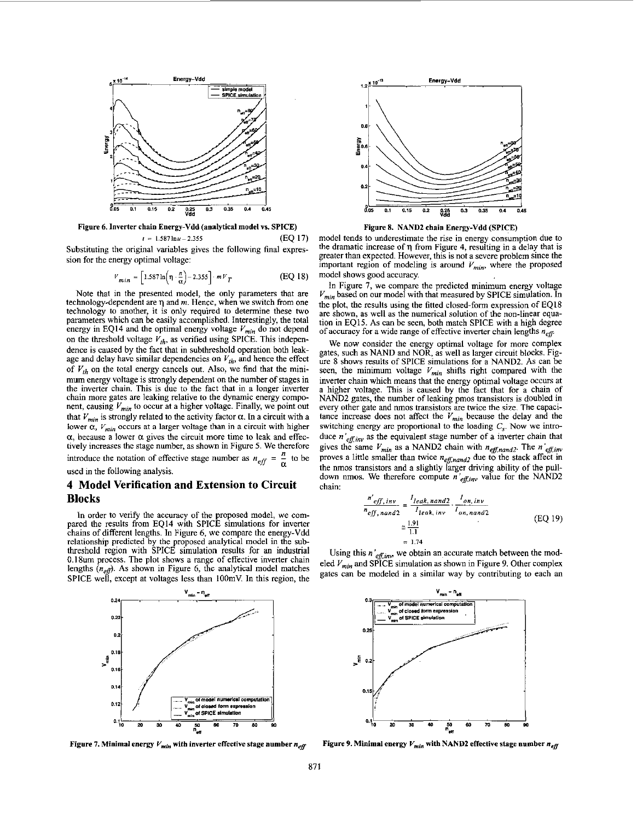

Figure *6.* **Inverter chain Energy-Vdd (analytical model vs. SPICE)** 

Substituting the original variables gives the following final expression for the energy optimal voltage: **<sup>t</sup>**= **1.5871nu-2.355** (EQ **17)** 

$$
V_{min} = \left[1.587 \ln \left(\eta \cdot \frac{n}{\alpha}\right) - 2.355\right] \cdot mV_T
$$
 (EQ 18)

Note that in the presented model, the only parameters that are technology-dependent are  $\eta$  and  $m$ . Hence, when we switch from one technology to another, it is only required to determine these two parameters which can be easily accomplished. Interestingly, the total energy in EQ14 and the optimal energy voltage  $V_{min}$  do not depend on the threshold voltage  $V_{th}$ , as verified using SPICE. This independence is caused by the fact that in subthreshold operation both leakage and delay have similar dependencies on  $V_{th}$ , and hence the effect of  $V_{tb}$  on the total energy cancels out. Also, we find that the minimum energy voltage is strongly dependent on the number of stages in the inverter chain. This is due to the fact that in a longer inverter chain more gates are leaking relative to the dynamic energy component, causing  $V_{min}$  to occur at a higher voltage. Finally, we point out that  $V_{min}$  is strongly related to the activity factor  $\alpha$ . In a circuit with a lower  $\alpha$ ,  $V_{min}$  occurs at a larger voltage than in a circuit with higher  $\alpha$ , because a lower  $\alpha$  gives the circuit more time to leak and effectively increases the stage number, as shown in Figure *5.* We therefore introduce the notation of effective stage number as  $n_{\text{eff}} = \frac{n}{\alpha}$  to be used in the following analysis.

# **4 Model Verification and Extension to Circuit**

In order to verify the accuracy of the proposed model, we com-<br>pared the results from EQ14 with SPICE simulations for inverter chains of different lengths. In Figure *6,* we compare the energy-Vdd relationship predicted by the proposed analytical model in the subthreshold region with SPICE simulation results for an industrial **0.1** 8um process. The plot shows a range of effective inverter chain lengths  $(n_{\text{eff}})$ . As shown in Figure 6, the analytical model matches SPICE well, except at voltages **less** than 1OOmV. In this region, the





**Figure 8. NAND2 chain Energy-Vdd (SPICE)** 

model tends to underestimate the rise in energy consumption due to the dramatic increase of  $\eta$  from Figure 4, resulting in a delay that is greater than expected. However, this is not a severe problem since the important region of modeling is around  $V_{min}$ , where the proposed model shows good accuracy.

In Figure **7,** we compare the predicted minimum energy voltage  $V_{min}$  based on our model with that measured by SPICE simulation. In the plot, the results using the fitted closed-form expression of EQ18 are shown, as well as the numerical solution of the non-linear equation in EQIS. **As** can he seen, both match SPICE with a high degree of accuracy for a wide range of effective inverter chain lengths  $n_{\text{eff}}$ .

We now consider the energy optimal voltage for more complex gates, such as NAND and NOR, as well as larger circuit blocks. Figure 8 shows results of SPICE simulations for a NAND2. As can be seen, the minimum voltage  $V_{min}$  shifts right compared with the inverter chain which means that the energy optimal voltage occurs at a higher voltage. This **is** caused by the fact that for a chain of NAND2 gates, the number of leaking pmos transistors is doubled in every other gate and mnos transistors are twice the size. The capacitance increase does not affect the  $V_{min}$  because the delay and the switching energy are proportional to the loading  $C_s$ . Now we introduce  $n'_{eff,inv}$  as the equivalent stage number of a inverter chain that gives the same  $V_{min}$  as a NAND2 chain with  $n_{eff, nand2}$ . The  $n'_{eff, inv}$ proves a little smaller than twice  $n_{\text{eff},nand2}$  due to the stack affect in the nmos transistors and a slightly larger driving ability of the pulldown nmos. We therefore compute *n'efiim* value for the NAND2 chain: and the most transistors and a slightly larger driving about the most transistors and a slightly larger driving about the most transistors and a slightly larger driving about the most transistors and a slightly larger dri

$$
\frac{n'_{eff, inv}}{n_{eff, nand2}} = \frac{I_{leak, nand2}}{I_{leak, inv}} \cdot \frac{I_{on, inv}}{I_{on, nand2}}
$$
  

$$
\approx \frac{1.91}{1.1}
$$
  

$$
= 1.74
$$
 (EQ 19)

Using this  $n'_{eff, inv}$  we obtain an accurate match between the modeled *vmia* and SPICE simulation as shown in Figure 9. Other complex gates can be modeled in a similar way by contributing to each an



**Figure 7. Minimal energy**  $V_{min}$  **with inverter effective stage number**  $n_{eff}$  **Figure 9. Minimal energy**  $V_{min}$  **with NAND2 effective stage number**  $n_{eff}$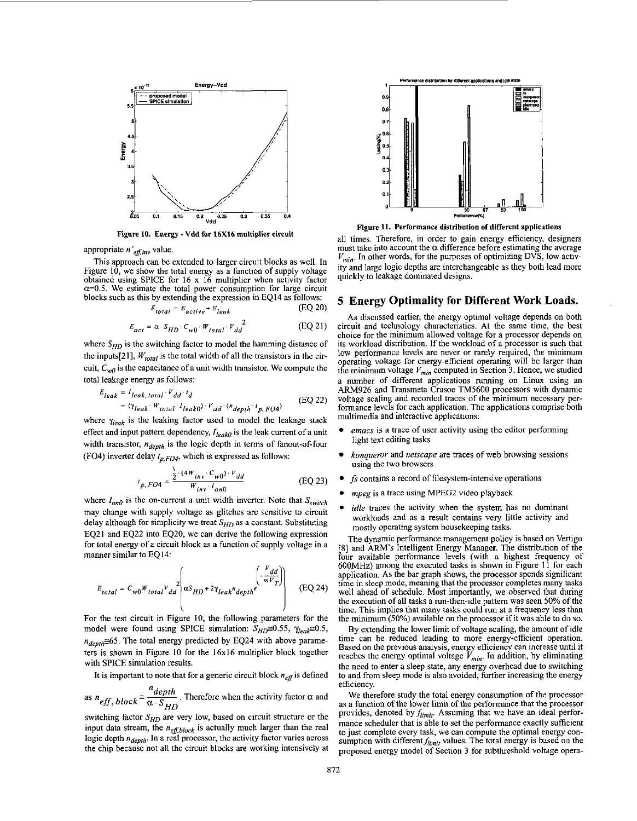

Figure **10. Energy** - **Vdd** for **16x16** multiplier circuit

appropriate *n'<sub>eff,inv</sub>* value.

This approach can he extended to larger circuit blocks as well. In Figure 10, we show the total energy as a function of supply voltage obtained using SPICE for 16 x **16** multiplier when activity factor  $\alpha$ =0.5. We estimate the total power consumption for large circuit blocks such as this by extending the expression in EQ14 as follows:

$$
E_{total} = E_{active} + E_{leak}
$$
 (EQ 20)

$$
E_{act} = \alpha \cdot S_{HD} \cdot C_{w0} \cdot W_{total} \cdot V_{dd}^{2}
$$
 (EQ 21)

where  $S_{HD}$  is the switching factor to model the hamming distance of the inputs[21],  $W_{total}$  is the total width of all the transistors in the circuit,  $C_{w0}$  is the capacitance of a unit width transistor. We compute the total leakage energy as follows:

$$
E_{leak} = I_{leak, total} \cdot V_{dd} \cdot t_d
$$
  
=  $(\gamma_{leak} \cdot W_{total} \cdot I_{leak0}) \cdot V_{dd} \cdot (n_{depth} \cdot t_{p, FO4})$  (EQ 22)

where  $\gamma_{leak}$  is the leaking factor used to model the leakage stack effect and input pattern dependency,  $I_{leak0}$  is the leak current of a unit width transistor,  $n_{depth}$  is the logic depth in terms of fanout-of-four (FO4) inverter delay  $t_{p,FO4}$ , which is expressed as follows:

$$
t_{p,FO4} = \frac{\frac{1}{2} \cdot (4W_{inv} \cdot C_{w0}) \cdot V_{dd}}{W_{inv} \cdot t_{on0}}
$$
 (EQ 23)

where  $I_{on0}$  is the on-current a unit width inverter. Note that  $S_{switch}$ may change with supply voltage as glitches are sensitive to circuit delay although for simplicity we treat  $S_{HD}$  as a constant. Substituting EQ21 and EQ22 into EQ20, we can derive the following expression for total energy of a circuit block as a function of supply voltage in a manner similar to EQ14:

$$
E_{total} = C_{w0} w_{total} v_{dd} \left[ \alpha S_{HD} + 2 \gamma_{leak} n_{depth} e^{-\left(\frac{V_{dd}}{mV_T}\right)} \right]
$$
(EQ 24)

For the test circuit in Figure 10, the following parameters for the model were found using SPICE simulation:  $S_{HD} \equiv 0.55$ ,  $\gamma_{leak} \equiv 0.5$ ,  $n_{depth} \equiv 65$ . The total energy predicted by EQ24 with above parameters is shown in Figure 10 for the 16x16 multiplier block together with SPICE simulation results.

It is important to note that for a generic circuit block  $n_{\text{eff}}$  is defined

as 
$$
n_{eff}
$$
,  $block \equiv \frac{n_{depth}}{\alpha \cdot S_{HD}}$ . Therefore when the activity factor  $\alpha$  and

switching factor *SHD* are very low, based on circuit structure or the input data stream, the  $n_{\text{eff},block}$  is actually much larger than the real logic depth  $n_{depth}$ . In a real processor, the activity factor varies across the chip because not all the circuit blocks are working intensively at



**Figure 11.** Performance distribution **of** different applications

all times. Therefore, in order to gain energy efficiency, designers must take into account the  $\alpha$  difference before estimating the average  $V_{min}$ . In other words, for the purposes of optimizing DVS, low activity and largc logic depths are interchangeable as they both lead inore quickly to leakage dominated designs.

#### *5* **Energy Optimality for Different Work Loads.**

As discussed earlier, the energy optimal voltage depends on both circuit and technology characteristics. At the same time, the best choice for the minimum allowed voltage for a processor depends on its workload distribution. If the workload of a processor is such that low performance levels are never or rarely required, the minimum operating voltage for energy-efficient operating will he larger than the minimum voltage  $V_{min}$  computed in Section 3. Hence, we studied a number of different applications running on Linux using an ARM926 and Transmeta Crusoe TM5600 processors with dynamic voltage scaling and recorded traces of the minimum necessary performance levels for each application. The applications comprise both multimedia and interactive applications:

- *emacs* **is** a trace of user activity using the editor performing light text editing tasks
- *konqueror* and *netscape* are traces of web browsing sessions using the two browsers
- *fs* contains a record of filesystem-intensive operations
- *mpeg* is a trace using MPEG2 video playback
- *idle* traces the activity when the system has no dominant workloads and as a result contains very little activity and mostly operating system housekeeping tasks.

The dynamic performance management policy is based on Vertigo [8] and ARMS Intelligent Energy Manager. The distribution of the four available performance levels (with a highest frequency of 600MHz) among the executed tasks is shown in Figure **11** for each application. **As** the bar graph shows, the processor spends significant time in **sleep** mode, meaning that the processor completes **many** tasks well ahead of schedule. Most importantly, we observed that during the execution of all tasks a run-then-idle pattern was seen 50% of the time. This implies that many tasks could run at a frequency less than the minimum (50%) available on the processor if it was able to do so.

By extending the lower limit of voltage scaling, the amount of idle time can be reduced leading to more energy-efficient operation. Based on the previous analysis, energy efficiency can increase until it reaches the energy optimal voltage  $\widetilde{V}_{min}$ . In addition, by eliminating the need to enter a sleep state, any energy overhead due to switching to and from sleep mode is also avoided, further increasing the energy efficiency.

We therefore study the total energy consumption of the processor as a function of the lower limit of the performance that the processor provides, denoted by  $f_{limit}$ . Assuming that we have an ideal performance scheduler that is able to set the performance exactly sufficient to just complete every task, we can compute the optimal energy consumption with different  $f_{limit}$  values. The total energy is based on the proposed energy model of Section 3 for subthreshold voltage opera-